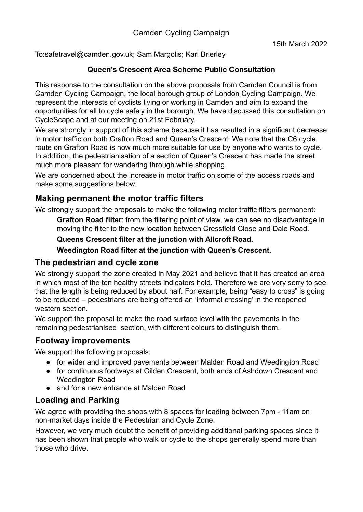To:safetravel@camden.gov.uk; Sam Margolis; Karl Brierley

### **Queen's Crescent Area Scheme Public Consultation**

This response to the consultation on the above proposals from Camden Council is from Camden Cycling Campaign, the local borough group of London Cycling Campaign. We represent the interests of cyclists living or working in Camden and aim to expand the opportunities for all to cycle safely in the borough. We have discussed this consultation on CycleScape and at our meeting on 21st February.

We are strongly in support of this scheme because it has resulted in a significant decrease in motor traffic on both Grafton Road and Queen's Crescent. We note that the C6 cycle route on Grafton Road is now much more suitable for use by anyone who wants to cycle. In addition, the pedestrianisation of a section of Queen's Crescent has made the street much more pleasant for wandering through while shopping.

We are concerned about the increase in motor traffic on some of the access roads and make some suggestions below.

# **Making permanent the motor traffic filters**

We strongly support the proposals to make the following motor traffic filters permanent:

**Grafton Road filter**: from the filtering point of view, we can see no disadvantage in moving the filter to the new location between Cressfield Close and Dale Road.

#### **Queens Crescent filter at the junction with Allcroft Road.**

**Weedington Road filter at the junction with Queen's Crescent.**

### **The pedestrian and cycle zone**

We strongly support the zone created in May 2021 and believe that it has created an area in which most of the ten healthy streets indicators hold. Therefore we are very sorry to see that the length is being reduced by about half. For example, being "easy to cross" is going to be reduced – pedestrians are being offered an 'informal crossing' in the reopened western section.

We support the proposal to make the road surface level with the pavements in the remaining pedestrianised section, with different colours to distinguish them.

### **Footway improvements**

We support the following proposals:

- for wider and improved pavements between Malden Road and Weedington Road
- for continuous footways at Gilden Crescent, both ends of Ashdown Crescent and Weedington Road
- and for a new entrance at Malden Road

# **Loading and Parking**

We agree with providing the shops with 8 spaces for loading between 7pm - 11am on non-market days inside the Pedestrian and Cycle Zone.

However, we very much doubt the benefit of providing additional parking spaces since it has been shown that people who walk or cycle to the shops generally spend more than those who drive.